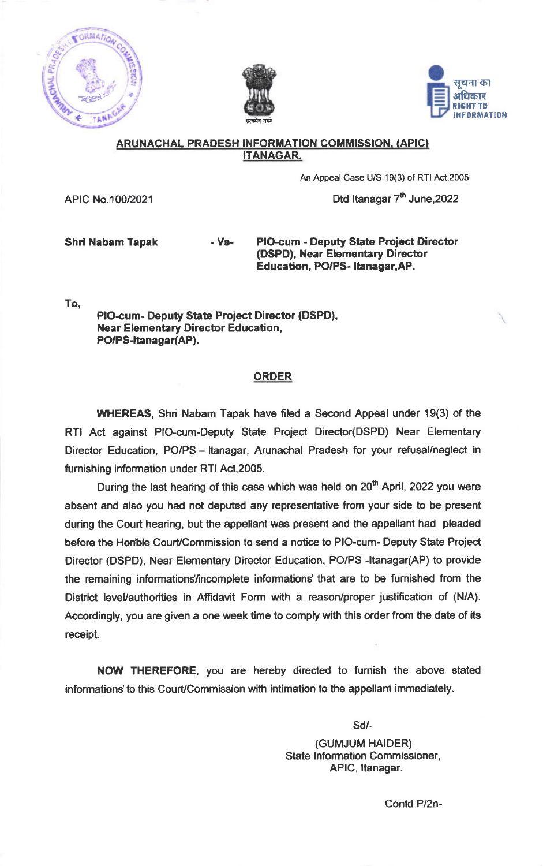





## ARUNACHAL PRADESH INFORMATION COMMISSION. (APIC} ITANAGAR.

An Appeal Case U/S 19(3) of RTI Act,2005

Dtd Itanagar  $7<sup>th</sup>$  June, 2022

APIC No.100/2021

Shri Nabam Tapak - Vs-

PIO-cum - Deputy State Project Director (DSPD), Near Elementary Director Education, PO/PS- Itanagar, AP.

To,

PIO-cum- Deputy State Project Director (DSPD), Near Elementary Director Education, PO/PS-Itanagar(AP).

## **ORDER**

WHEREAS, Shri Nabam Tapak have filed a Second Appeal under 19(3) of the RTI Act against PIO-cum-Deputy State Project Directo(DSPD) Near Elementary Director Education, PO/PS - Itanagar, Arunachal Pradesh for your refusal/neglect in fumishing information under RTI Act,2005.

During the last hearing of this case which was held on  $20<sup>th</sup>$  April, 2022 you were absent and also you had not deputed any representative from your side to be present during the Court hearing, but the appellant was present and the appellant had pleaded before the Honble Court/Commission to send a notice to PIO-cum- Deputy State Project Director (DSPD), Near Elementary Director Education, PO/PS -Itanagar(AP) to provide the remaining informations/incomplete informations' that are to be furnished from the District level/authorities in Affidavit Form with a reason/proper justification of (N/A). Accordingly, you are given a one week time to comply with this order from the date of its receipt.

NOW THEREFORE, you are hereby directed to furnish the above stated informations' to this Court/Commission with intimation to the appellant immediately.

sd/-

(GUMJUM HAIDER) State lnformation Commissioner, APIC, itanagar.

Contd P/2n-